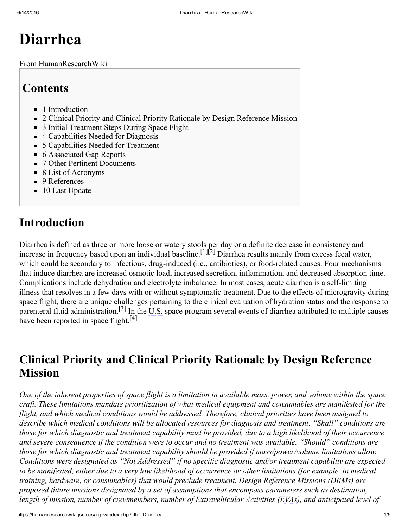# Diarrhea

From HumanResearchWiki

# **Contents**

- 1 [Introduction](#page-0-0)
- 2 Clinical Priority and Clinical Priority Rationale by Design [Reference](#page-0-1) Mission
- 3 Initial [Treatment](#page-1-0) Steps During Space Flight
- 4 [Capabilities](#page-2-0) Needed for Diagnosis
- 5 [Capabilities](#page-2-1) Needed for Treatment
- 6 [Associated](#page-3-0) Gap Reports
- 7 Other Pertinent [Documents](#page-3-1)
- 8 List of [Acronyms](#page-3-2)
- 9 [References](#page-4-0)
- 10 Last [Update](#page-4-1)

# <span id="page-0-0"></span>Introduction

Diarrhea is defined as three or more loose or watery stools per day or a definite decrease in consistency and increase in frequency based upon an individual baseline.<sup>[\[1\]](#page-4-2)[\[2\]](#page-4-3)</sup> Diarrhea results mainly from excess fecal water, which could be secondary to infectious, drug-induced (i.e., antibiotics), or food-related causes. Four mechanisms that induce diarrhea are increased osmotic load, increased secretion, inflammation, and decreased absorption time. Complications include dehydration and electrolyte imbalance. In most cases, acute diarrhea is a self-limiting illness that resolves in a few days with or without symptomatic treatment. Due to the effects of microgravity during space flight, there are unique challenges pertaining to the clinical evaluation of hydration status and the response to parenteral fluid administration.<sup>[\[3\]](#page-4-4)</sup> In the U.S. space program several events of diarrhea attributed to multiple causes have been reported in space flight.<sup>[\[4\]](#page-4-5)</sup>

# <span id="page-0-1"></span>Clinical Priority and Clinical Priority Rationale by Design Reference Mission

One of the inherent properties of space flight is a limitation in available mass, power, and volume within the space craft. These limitations mandate prioritization of what medical equipment and consumables are manifested for the flight, and which medical conditions would be addressed. Therefore, clinical priorities have been assigned to describe which medical conditions will be allocated resources for diagnosis and treatment. "Shall" conditions are those for which diagnostic and treatment capability must be provided, due to a high likelihood of their occurrence and severe consequence if the condition were to occur and no treatment was available. "Should" conditions are those for which diagnostic and treatment capability should be provided if mass/power/volume limitations allow. Conditions were designated as "Not Addressed" if no specific diagnostic and/or treatment capability are expected to be manifested, either due to a very low likelihood of occurrence or other limitations (for example, in medical training, hardware, or consumables) that would preclude treatment. Design Reference Missions (DRMs) are proposed future missions designated by a set of assumptions that encompass parameters such as destination, length of mission, number of crewmembers, number of Extravehicular Activities (EVAs), and anticipated level of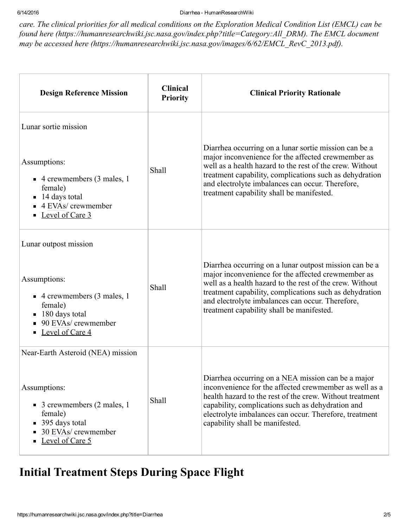6/14/2016 Diarrhea HumanResearchWiki

care. The clinical priorities for all medical conditions on the Exploration Medical Condition List (EMCL) can be found here [\(https://humanresearchwiki.jsc.nasa.gov/index.php?title=Category:All\\_DRM\)](https://humanresearchwiki.jsc.nasa.gov/index.php?title=Category:All_DRM). The EMCL document may be accessed here [\(https://humanresearchwiki.jsc.nasa.gov/images/6/62/EMCL\\_RevC\\_2013.pdf\)](https://humanresearchwiki.jsc.nasa.gov/images/6/62/EMCL_RevC_2013.pdf).

| <b>Design Reference Mission</b>                                                                                                                                                        | <b>Clinical</b><br><b>Priority</b> | <b>Clinical Priority Rationale</b>                                                                                                                                                                                                                                                                                                   |
|----------------------------------------------------------------------------------------------------------------------------------------------------------------------------------------|------------------------------------|--------------------------------------------------------------------------------------------------------------------------------------------------------------------------------------------------------------------------------------------------------------------------------------------------------------------------------------|
| Lunar sortie mission<br>Assumptions:<br>$\blacksquare$ 4 crewmembers (3 males, 1<br>female)<br>14 days total<br>4 EVAs/ crewmember<br>Level of Care 3                                  | Shall                              | Diarrhea occurring on a lunar sortie mission can be a<br>major inconvenience for the affected crewmember as<br>well as a health hazard to the rest of the crew. Without<br>treatment capability, complications such as dehydration<br>and electrolyte imbalances can occur. Therefore,<br>treatment capability shall be manifested.  |
| Lunar outpost mission<br>Assumptions:<br>$\blacksquare$ 4 crewmembers (3 males, 1<br>female)<br>$\blacksquare$ 180 days total<br>90 EVAs/ crewmember<br>$\blacksquare$ Level of Care 4 | Shall                              | Diarrhea occurring on a lunar outpost mission can be a<br>major inconvenience for the affected crewmember as<br>well as a health hazard to the rest of the crew. Without<br>treatment capability, complications such as dehydration<br>and electrolyte imbalances can occur. Therefore,<br>treatment capability shall be manifested. |
| Near-Earth Asteroid (NEA) mission<br>Assumptions:<br>$\blacksquare$ 3 crewmembers (2 males, 1<br>female)<br>■ 395 days total<br>30 EVAs/ crewmember<br>Level of Care 5                 | Shall                              | Diarrhea occurring on a NEA mission can be a major<br>inconvenience for the affected crewmember as well as a<br>health hazard to the rest of the crew. Without treatment<br>capability, complications such as dehydration and<br>electrolyte imbalances can occur. Therefore, treatment<br>capability shall be manifested.           |

# <span id="page-1-0"></span>Initial Treatment Steps During Space Flight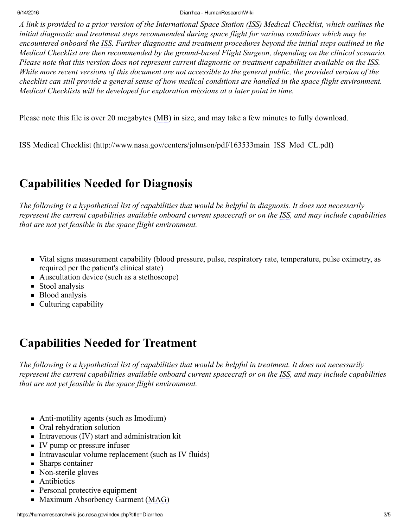6/14/2016 Diarrhea HumanResearchWiki

A link is provided to a prior version of the International Space Station (ISS) Medical Checklist, which outlines the initial diagnostic and treatment steps recommended during space flight for various conditions which may be encountered onboard the ISS. Further diagnostic and treatment procedures beyond the initial steps outlined in the Medical Checklist are then recommended by the ground-based Flight Surgeon, depending on the clinical scenario. Please note that this version does not represent current diagnostic or treatment capabilities available on the ISS. While more recent versions of this document are not accessible to the general public, the provided version of the checklist can still provide a general sense of how medical conditions are handled in the space flight environment. Medical Checklists will be developed for exploration missions at a later point in time.

Please note this file is over 20 megabytes (MB) in size, and may take a few minutes to fully download.

ISS Medical Checklist [\(http://www.nasa.gov/centers/johnson/pdf/163533main\\_ISS\\_Med\\_CL.pdf\)](http://www.nasa.gov/centers/johnson/pdf/163533main_ISS_Med_CL.pdf)

# <span id="page-2-0"></span>Capabilities Needed for Diagnosis

The following is a hypothetical list of capabilities that would be helpful in diagnosis. It does not necessarily represent the current capabilities available onboard current spacecraft or on the ISS, and may include capabilities that are not yet feasible in the space flight environment.

- Vital signs measurement capability (blood pressure, pulse, respiratory rate, temperature, pulse oximetry, as required per the patient's clinical state)
- Auscultation device (such as a stethoscope)
- Stool analysis
- **Blood analysis**
- Culturing capability

### <span id="page-2-1"></span>Capabilities Needed for Treatment

The following is a hypothetical list of capabilities that would be helpful in treatment. It does not necessarily represent the current capabilities available onboard current spacecraft or on the ISS, and may include capabilities that are not yet feasible in the space flight environment.

- Anti-motility agents (such as Imodium)
- Oral rehydration solution
- $\blacksquare$  Intravenous (IV) start and administration kit
- IV pump or pressure infuser
- Intravascular volume replacement (such as IV fluids)
- Sharps container
- Non-sterile gloves
- **Antibiotics**
- **Personal protective equipment**
- Maximum Absorbency Garment (MAG)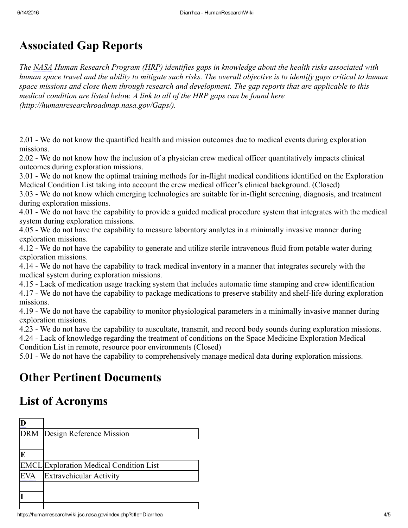# <span id="page-3-0"></span>Associated Gap Reports

The NASA Human Research Program (HRP) identifies gaps in knowledge about the health risks associated with human space travel and the ability to mitigate such risks. The overall objective is to identify gaps critical to human space missions and close them through research and development. The gap reports that are applicable to this medical condition are listed below. A link to all of the HRP gaps can be found here [\(http://humanresearchroadmap.nasa.gov/Gaps/\).](http://humanresearchroadmap.nasa.gov/Gaps/)

[2.01](https://humanresearchwiki.jsc.nasa.gov/index.php?title=2.01) We do not know the quantified health and mission outcomes due to medical events during exploration missions.

[2.02](https://humanresearchwiki.jsc.nasa.gov/index.php?title=2.02) We do not know how the inclusion of a physician crew medical officer quantitatively impacts clinical outcomes during exploration missions.

[3.01](https://humanresearchwiki.jsc.nasa.gov/index.php?title=3.01) - We do not know the optimal training methods for in-flight medical conditions identified on the Exploration Medical Condition List taking into account the crew medical officer's clinical background. (Closed)

[3.03](https://humanresearchwiki.jsc.nasa.gov/index.php?title=3.03) - We do not know which emerging technologies are suitable for in-flight screening, diagnosis, and treatment during exploration missions.

[4.01](https://humanresearchwiki.jsc.nasa.gov/index.php?title=4.01) We do not have the capability to provide a guided medical procedure system that integrates with the medical system during exploration missions.

[4.05](https://humanresearchwiki.jsc.nasa.gov/index.php?title=4.05) We do not have the capability to measure laboratory analytes in a minimally invasive manner during exploration missions.

[4.12](https://humanresearchwiki.jsc.nasa.gov/index.php?title=4.12) We do not have the capability to generate and utilize sterile intravenous fluid from potable water during exploration missions.

[4.14](https://humanresearchwiki.jsc.nasa.gov/index.php?title=4.14) We do not have the capability to track medical inventory in a manner that integrates securely with the medical system during exploration missions.

[4.15](https://humanresearchwiki.jsc.nasa.gov/index.php?title=4.15) Lack of medication usage tracking system that includes automatic time stamping and crew identification

[4.17](https://humanresearchwiki.jsc.nasa.gov/index.php?title=4.17) - We do not have the capability to package medications to preserve stability and shelf-life during exploration missions.

[4.19](https://humanresearchwiki.jsc.nasa.gov/index.php?title=4.19) - We do not have the capability to monitor physiological parameters in a minimally invasive manner during exploration missions.

[4.23](https://humanresearchwiki.jsc.nasa.gov/index.php?title=4.23) - We do not have the capability to auscultate, transmit, and record body sounds during exploration missions.

[4.24](https://humanresearchwiki.jsc.nasa.gov/index.php?title=4.24) Lack of knowledge regarding the treatment of conditions on the Space Medicine Exploration Medical Condition List in remote, resource poor environments (Closed)

[5.01](https://humanresearchwiki.jsc.nasa.gov/index.php?title=5.01) We do not have the capability to comprehensively manage medical data during exploration missions.

### <span id="page-3-1"></span>Other Pertinent Documents

### <span id="page-3-2"></span>List of Acronyms

| <b>DRM</b> | Design Reference Mission                       |
|------------|------------------------------------------------|
|            |                                                |
| E          |                                                |
|            | <b>EMCL</b> Exploration Medical Condition List |
|            | <b>Extravehicular Activity</b>                 |
|            |                                                |
|            |                                                |
|            |                                                |